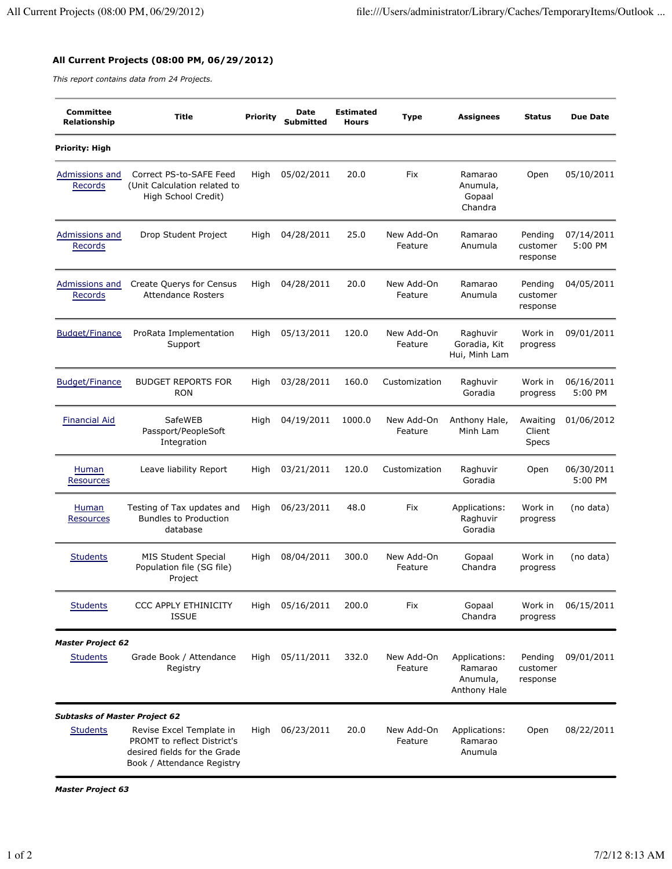## **All Current Projects (08:00 PM, 06/29/2012)**

*This report contains data from 24 Projects.*

| <b>Committee</b><br>Relationship     | <b>Title</b>                                                                                                          | <b>Priority</b> | Date<br>Submitted | <b>Estimated</b><br><b>Hours</b> | <b>Type</b>           | <b>Assignees</b>                                     | <b>Status</b>                      | <b>Due Date</b>       |
|--------------------------------------|-----------------------------------------------------------------------------------------------------------------------|-----------------|-------------------|----------------------------------|-----------------------|------------------------------------------------------|------------------------------------|-----------------------|
| Priority: High                       |                                                                                                                       |                 |                   |                                  |                       |                                                      |                                    |                       |
| Admissions and<br>Records            | Correct PS-to-SAFE Feed<br>(Unit Calculation related to<br>High School Credit)                                        | High            | 05/02/2011        | 20.0                             | Fix                   | Ramarao<br>Anumula,<br>Gopaal<br>Chandra             | Open                               | 05/10/2011            |
| Admissions and<br>Records            | Drop Student Project                                                                                                  | High            | 04/28/2011        | 25.0                             | New Add-On<br>Feature | Ramarao<br>Anumula                                   | Pending<br>customer<br>response    | 07/14/2011<br>5:00 PM |
| Admissions and<br>Records            | Create Querys for Census<br><b>Attendance Rosters</b>                                                                 | High            | 04/28/2011        | 20.0                             | New Add-On<br>Feature | Ramarao<br>Anumula                                   | Pending<br>customer<br>response    | 04/05/2011            |
| <b>Budget/Finance</b>                | ProRata Implementation<br>Support                                                                                     | High            | 05/13/2011        | 120.0                            | New Add-On<br>Feature | Raghuvir<br>Goradia, Kit<br>Hui, Minh Lam            | Work in<br>progress                | 09/01/2011            |
| <b>Budget/Finance</b>                | <b>BUDGET REPORTS FOR</b><br><b>RON</b>                                                                               | High            | 03/28/2011        | 160.0                            | Customization         | Raghuvir<br>Goradia                                  | Work in<br>progress                | 06/16/2011<br>5:00 PM |
| <b>Financial Aid</b>                 | SafeWEB<br>Passport/PeopleSoft<br>Integration                                                                         | High            | 04/19/2011        | 1000.0                           | New Add-On<br>Feature | Anthony Hale,<br>Minh Lam                            | Awaiting<br>Client<br><b>Specs</b> | 01/06/2012            |
| Human<br>Resources                   | Leave liability Report                                                                                                | High            | 03/21/2011        | 120.0                            | Customization         | Raghuvir<br>Goradia                                  | Open                               | 06/30/2011<br>5:00 PM |
| Human<br><b>Resources</b>            | Testing of Tax updates and<br><b>Bundles to Production</b><br>database                                                | High            | 06/23/2011        | 48.0                             | Fix                   | Applications:<br>Raghuvir<br>Goradia                 | Work in<br>progress                | (no data)             |
| <b>Students</b>                      | <b>MIS Student Special</b><br>Population file (SG file)<br>Project                                                    | High            | 08/04/2011        | 300.0                            | New Add-On<br>Feature | Gopaal<br>Chandra                                    | Work in<br>progress                | (no data)             |
| <b>Students</b>                      | <b>CCC APPLY ETHINICITY</b><br><b>ISSUE</b>                                                                           | High            | 05/16/2011        | 200.0                            | Fix                   | Gopaal<br>Chandra                                    | Work in<br>progress                | 06/15/2011            |
| <b>Master Project 62</b>             |                                                                                                                       |                 |                   |                                  |                       |                                                      |                                    |                       |
| <b>Students</b>                      | Grade Book / Attendance<br>Registry                                                                                   | High            | 05/11/2011        | 332.0                            | New Add-On<br>Feature | Applications:<br>Ramarao<br>Anumula,<br>Anthony Hale | Pending<br>customer<br>response    | 09/01/2011            |
| <b>Subtasks of Master Project 62</b> |                                                                                                                       |                 |                   |                                  |                       |                                                      |                                    |                       |
| <b>Students</b>                      | Revise Excel Template in<br>PROMT to reflect District's<br>desired fields for the Grade<br>Book / Attendance Registry | High            | 06/23/2011        | 20.0                             | New Add-On<br>Feature | Applications:<br>Ramarao<br>Anumula                  | Open                               | 08/22/2011            |

*Master Project 63*